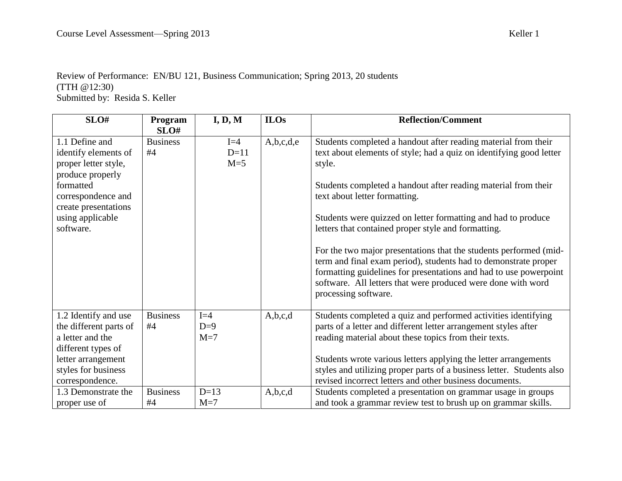## Review of Performance: EN/BU 121, Business Communication; Spring 2013, 20 students (TTH @12:30) Submitted by: Resida S. Keller

| SLO#                                                                                                                                                                           | Program<br>SLO#       | I, D, M                  | <b>ILOs</b> | <b>Reflection/Comment</b>                                                                                                                                                                                                                                                                                                                                                                                                                                                                                                                                                                                                                                                       |
|--------------------------------------------------------------------------------------------------------------------------------------------------------------------------------|-----------------------|--------------------------|-------------|---------------------------------------------------------------------------------------------------------------------------------------------------------------------------------------------------------------------------------------------------------------------------------------------------------------------------------------------------------------------------------------------------------------------------------------------------------------------------------------------------------------------------------------------------------------------------------------------------------------------------------------------------------------------------------|
| 1.1 Define and<br>identify elements of<br>proper letter style,<br>produce properly<br>formatted<br>correspondence and<br>create presentations<br>using applicable<br>software. | <b>Business</b><br>#4 | $I=4$<br>$D=11$<br>$M=5$ | A,b,c,d,e   | Students completed a handout after reading material from their<br>text about elements of style; had a quiz on identifying good letter<br>style.<br>Students completed a handout after reading material from their<br>text about letter formatting.<br>Students were quizzed on letter formatting and had to produce<br>letters that contained proper style and formatting.<br>For the two major presentations that the students performed (mid-<br>term and final exam period), students had to demonstrate proper<br>formatting guidelines for presentations and had to use powerpoint<br>software. All letters that were produced were done with word<br>processing software. |
| 1.2 Identify and use<br>the different parts of<br>a letter and the<br>different types of<br>letter arrangement<br>styles for business<br>correspondence.                       | <b>Business</b><br>#4 | $I=4$<br>$D=9$<br>$M=7$  | A,b,c,d     | Students completed a quiz and performed activities identifying<br>parts of a letter and different letter arrangement styles after<br>reading material about these topics from their texts.<br>Students wrote various letters applying the letter arrangements<br>styles and utilizing proper parts of a business letter. Students also<br>revised incorrect letters and other business documents.                                                                                                                                                                                                                                                                               |
| 1.3 Demonstrate the<br>proper use of                                                                                                                                           | <b>Business</b><br>#4 | $D=13$<br>$M=7$          | A,b,c,d     | Students completed a presentation on grammar usage in groups<br>and took a grammar review test to brush up on grammar skills.                                                                                                                                                                                                                                                                                                                                                                                                                                                                                                                                                   |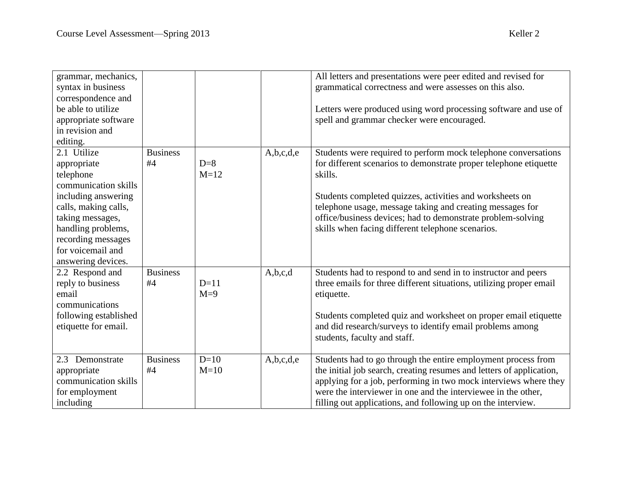grammar, mechanics, syntax in business correspondence and be able to utilize

| All letters and presentations were peer edited and revised for                                                |
|---------------------------------------------------------------------------------------------------------------|
| grammatical correctness and were assesses on this also.                                                       |
| Letters were produced using word processing software and use of<br>spell and grammar checker were encouraged. |
|                                                                                                               |
|                                                                                                               |

| appropriate software  |                 |        |           | spell and grammar checker were encouraged.                           |
|-----------------------|-----------------|--------|-----------|----------------------------------------------------------------------|
| in revision and       |                 |        |           |                                                                      |
| editing.              |                 |        |           |                                                                      |
| 2.1 Utilize           | <b>Business</b> |        | A,b,c,d,e | Students were required to perform mock telephone conversations       |
| appropriate           | #4              | $D=8$  |           | for different scenarios to demonstrate proper telephone etiquette    |
| telephone             |                 | $M=12$ |           | skills.                                                              |
| communication skills  |                 |        |           |                                                                      |
| including answering   |                 |        |           | Students completed quizzes, activities and worksheets on             |
| calls, making calls,  |                 |        |           | telephone usage, message taking and creating messages for            |
| taking messages,      |                 |        |           | office/business devices; had to demonstrate problem-solving          |
| handling problems,    |                 |        |           | skills when facing different telephone scenarios.                    |
| recording messages    |                 |        |           |                                                                      |
| for voicemail and     |                 |        |           |                                                                      |
| answering devices.    |                 |        |           |                                                                      |
| 2.2 Respond and       | <b>Business</b> |        | A,b,c,d   | Students had to respond to and send in to instructor and peers       |
| reply to business     | #4              | $D=11$ |           | three emails for three different situations, utilizing proper email  |
| email                 |                 | $M=9$  |           | etiquette.                                                           |
| communications        |                 |        |           |                                                                      |
| following established |                 |        |           | Students completed quiz and worksheet on proper email etiquette      |
| etiquette for email.  |                 |        |           | and did research/surveys to identify email problems among            |
|                       |                 |        |           | students, faculty and staff.                                         |
|                       |                 |        |           |                                                                      |
| 2.3 Demonstrate       | <b>Business</b> | $D=10$ | A,b,c,d,e | Students had to go through the entire employment process from        |
| appropriate           | #4              | $M=10$ |           | the initial job search, creating resumes and letters of application, |
| communication skills  |                 |        |           | applying for a job, performing in two mock interviews where they     |
| for employment        |                 |        |           | were the interviewer in one and the interviewee in the other,        |
| including             |                 |        |           | filling out applications, and following up on the interview.         |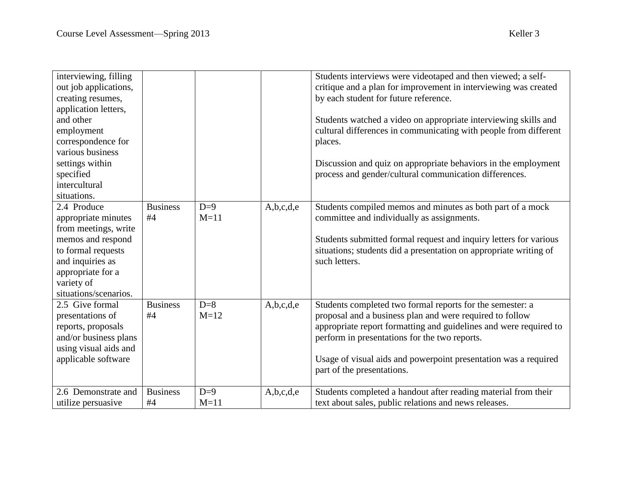| interviewing, filling<br>out job applications,<br>creating resumes,<br>application letters,<br>and other<br>employment<br>correspondence for<br>various business<br>settings within<br>specified<br>intercultural<br>situations. |                       |                 |           | Students interviews were videotaped and then viewed; a self-<br>critique and a plan for improvement in interviewing was created<br>by each student for future reference.<br>Students watched a video on appropriate interviewing skills and<br>cultural differences in communicating with people from different<br>places.<br>Discussion and quiz on appropriate behaviors in the employment<br>process and gender/cultural communication differences. |
|----------------------------------------------------------------------------------------------------------------------------------------------------------------------------------------------------------------------------------|-----------------------|-----------------|-----------|--------------------------------------------------------------------------------------------------------------------------------------------------------------------------------------------------------------------------------------------------------------------------------------------------------------------------------------------------------------------------------------------------------------------------------------------------------|
| 2.4 Produce<br>appropriate minutes<br>from meetings, write<br>memos and respond<br>to formal requests<br>and inquiries as<br>appropriate for a<br>variety of<br>situations/scenarios.                                            | <b>Business</b><br>#4 | $D=9$<br>$M=11$ | A,b,c,d,e | Students compiled memos and minutes as both part of a mock<br>committee and individually as assignments.<br>Students submitted formal request and inquiry letters for various<br>situations; students did a presentation on appropriate writing of<br>such letters.                                                                                                                                                                                    |
| 2.5 Give formal<br>presentations of<br>reports, proposals<br>and/or business plans<br>using visual aids and<br>applicable software                                                                                               | <b>Business</b><br>#4 | $D=8$<br>$M=12$ | A,b,c,d,e | Students completed two formal reports for the semester: a<br>proposal and a business plan and were required to follow<br>appropriate report formatting and guidelines and were required to<br>perform in presentations for the two reports.<br>Usage of visual aids and powerpoint presentation was a required<br>part of the presentations.                                                                                                           |
| 2.6 Demonstrate and<br>utilize persuasive                                                                                                                                                                                        | <b>Business</b><br>#4 | $D=9$<br>$M=11$ | A,b,c,d,e | Students completed a handout after reading material from their<br>text about sales, public relations and news releases.                                                                                                                                                                                                                                                                                                                                |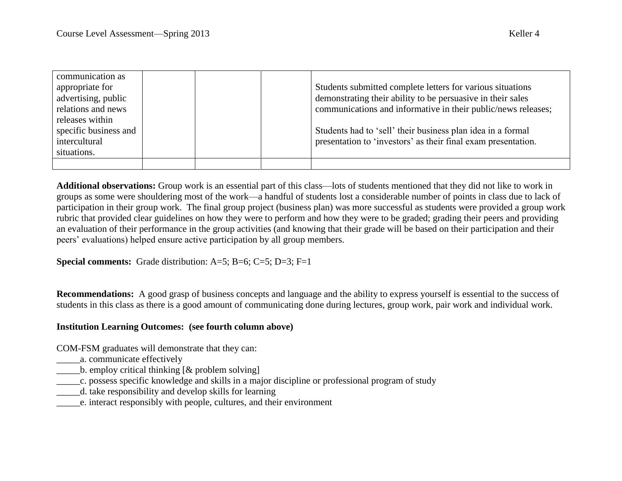| communication as      |  |                                                               |
|-----------------------|--|---------------------------------------------------------------|
| appropriate for       |  | Students submitted complete letters for various situations    |
| advertising, public   |  | demonstrating their ability to be persuasive in their sales   |
| relations and news    |  | communications and informative in their public/news releases; |
| releases within       |  |                                                               |
| specific business and |  | Students had to 'sell' their business plan idea in a formal   |
| intercultural         |  | presentation to 'investors' as their final exam presentation. |
| situations.           |  |                                                               |
|                       |  |                                                               |

**Additional observations:** Group work is an essential part of this class—lots of students mentioned that they did not like to work in groups as some were shouldering most of the work—a handful of students lost a considerable number of points in class due to lack of participation in their group work. The final group project (business plan) was more successful as students were provided a group work rubric that provided clear guidelines on how they were to perform and how they were to be graded; grading their peers and providing an evaluation of their performance in the group activities (and knowing that their grade will be based on their participation and their peers' evaluations) helped ensure active participation by all group members.

**Special comments:** Grade distribution: A=5; B=6; C=5; D=3; F=1

**Recommendations:** A good grasp of business concepts and language and the ability to express yourself is essential to the success of students in this class as there is a good amount of communicating done during lectures, group work, pair work and individual work.

## **Institution Learning Outcomes: (see fourth column above)**

COM-FSM graduates will demonstrate that they can:

- \_\_\_\_\_a. communicate effectively
- $\Box$ b. employ critical thinking  $[&$  problem solving
- \_\_\_\_\_c. possess specific knowledge and skills in a major discipline or professional program of study
- \_\_\_\_\_d. take responsibility and develop skills for learning
- \_\_\_\_\_e. interact responsibly with people, cultures, and their environment